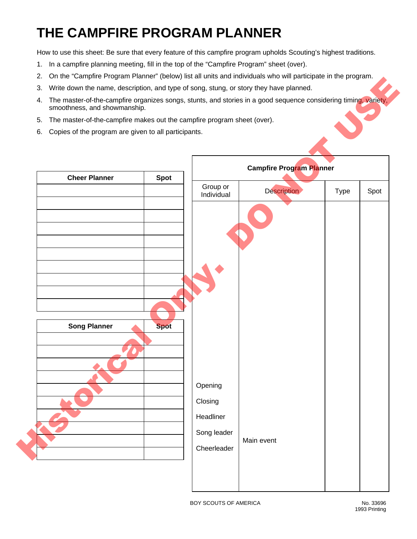## **THE CAMPFIRE PROGRAM PLANNER**

How to use this sheet: Be sure that every feature of this campfire program upholds Scouting's highest traditions.

- 1. In a campfire planning meeting, fill in the top of the "Campfire Program" sheet (over).
- 2. On the "Campfire Program Planner" (below) list all units and individuals who will participate in the program.
- 3. Write down the name, description, and type of song, stung, or story they have planned.
- 4. The master-of-the-campfire organizes songs, stunts, and stories in a good sequence considering timing, variety, smoothness, and showmanship.
- 5. The master-of-the-campfire makes out the campfire program sheet (over).
- 6. Copies of the program are given to all participants.



BOY SCOUTS OF AMERICA No. 33696